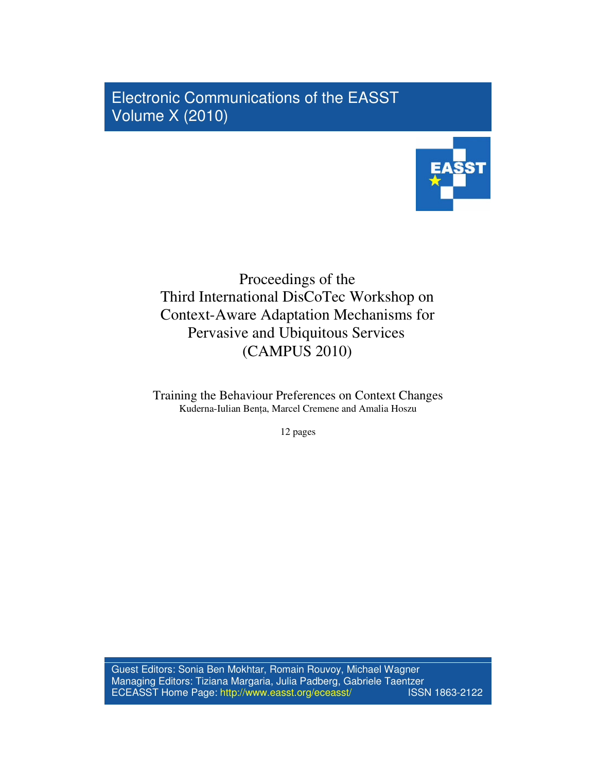Electronic Communications of the EASST Volume X (2010)



# Proceedings of the Third International DisCoTec Workshop on Context-Aware Adaptation Mechanisms for Pervasive and Ubiquitous Services (CAMPUS 2010)

Training the Behaviour Preferences on Context Changes Kuderna-Iulian Benta, Marcel Cremene and Amalia Hoszu

12 pages

Guest Editors: Sonia Ben Mokhtar, Romain Rouvoy, Michael Wagner Managing Editors: Tiziana Margaria, Julia Padberg, Gabriele Taentzer<br>ECEASST Home Page: http://www.easst.org/eceasst/ ECEASST Home Page: http://www.easst.org/eceasst/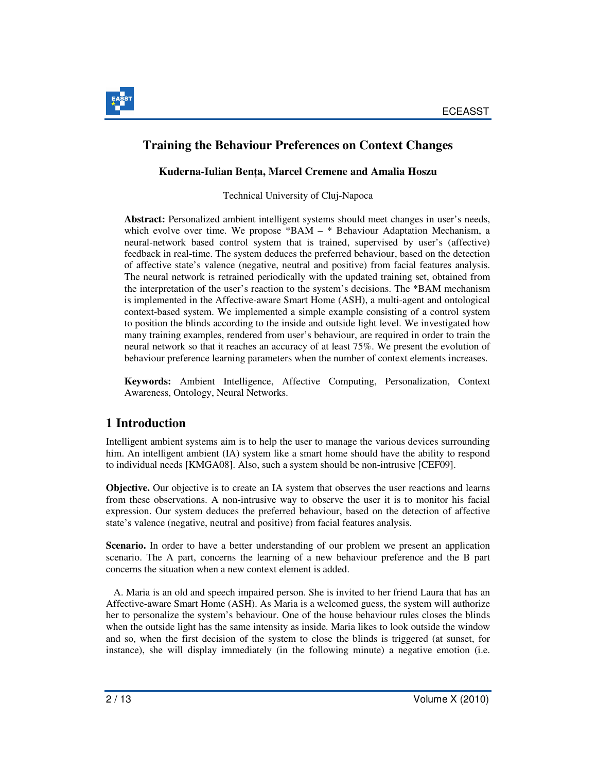

### **Training the Behaviour Preferences on Context Changes**

### **Kuderna-Iulian Ben**ţ**a, Marcel Cremene and Amalia Hoszu**

Technical University of Cluj-Napoca

**Abstract:** Personalized ambient intelligent systems should meet changes in user's needs, which evolve over time. We propose \*BAM – \* Behaviour Adaptation Mechanism, a neural-network based control system that is trained, supervised by user's (affective) feedback in real-time. The system deduces the preferred behaviour, based on the detection of affective state's valence (negative, neutral and positive) from facial features analysis. The neural network is retrained periodically with the updated training set, obtained from the interpretation of the user's reaction to the system's decisions. The \*BAM mechanism is implemented in the Affective-aware Smart Home (ASH), a multi-agent and ontological context-based system. We implemented a simple example consisting of a control system to position the blinds according to the inside and outside light level. We investigated how many training examples, rendered from user's behaviour, are required in order to train the neural network so that it reaches an accuracy of at least 75%. We present the evolution of behaviour preference learning parameters when the number of context elements increases.

**Keywords:** Ambient Intelligence, Affective Computing, Personalization, Context Awareness, Ontology, Neural Networks.

## **1 Introduction**

Intelligent ambient systems aim is to help the user to manage the various devices surrounding him. An intelligent ambient (IA) system like a smart home should have the ability to respond to individual needs [KMGA08]. Also, such a system should be non-intrusive [CEF09].

**Objective.** Our objective is to create an IA system that observes the user reactions and learns from these observations. A non-intrusive way to observe the user it is to monitor his facial expression. Our system deduces the preferred behaviour, based on the detection of affective state's valence (negative, neutral and positive) from facial features analysis.

**Scenario.** In order to have a better understanding of our problem we present an application scenario. The A part, concerns the learning of a new behaviour preference and the B part concerns the situation when a new context element is added.

 A. Maria is an old and speech impaired person. She is invited to her friend Laura that has an Affective-aware Smart Home (ASH). As Maria is a welcomed guess, the system will authorize her to personalize the system's behaviour. One of the house behaviour rules closes the blinds when the outside light has the same intensity as inside. Maria likes to look outside the window and so, when the first decision of the system to close the blinds is triggered (at sunset, for instance), she will display immediately (in the following minute) a negative emotion (i.e.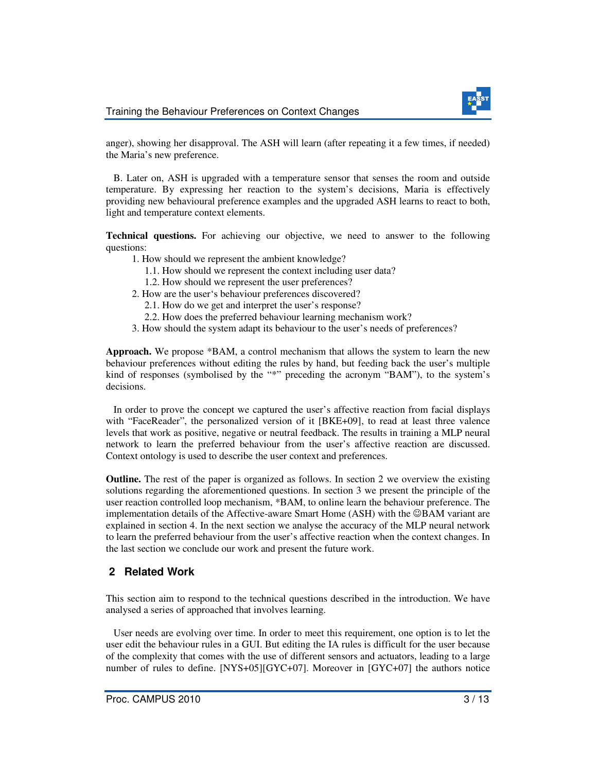

anger), showing her disapproval. The ASH will learn (after repeating it a few times, if needed) the Maria's new preference.

 B. Later on, ASH is upgraded with a temperature sensor that senses the room and outside temperature. By expressing her reaction to the system's decisions, Maria is effectively providing new behavioural preference examples and the upgraded ASH learns to react to both, light and temperature context elements.

**Technical questions.** For achieving our objective, we need to answer to the following questions:

- 1. How should we represent the ambient knowledge?
	- 1.1. How should we represent the context including user data?
	- 1.2. How should we represent the user preferences?
- 2. How are the user's behaviour preferences discovered?
	- 2.1. How do we get and interpret the user's response?
	- 2.2. How does the preferred behaviour learning mechanism work?
- 3. How should the system adapt its behaviour to the user's needs of preferences?

**Approach.** We propose \*BAM, a control mechanism that allows the system to learn the new behaviour preferences without editing the rules by hand, but feeding back the user's multiple kind of responses (symbolised by the "\*" preceding the acronym "BAM"), to the system's decisions.

 In order to prove the concept we captured the user's affective reaction from facial displays with "FaceReader", the personalized version of it [BKE+09], to read at least three valence levels that work as positive, negative or neutral feedback. The results in training a MLP neural network to learn the preferred behaviour from the user's affective reaction are discussed. Context ontology is used to describe the user context and preferences.

**Outline.** The rest of the paper is organized as follows. In section 2 we overview the existing solutions regarding the aforementioned questions. In section 3 we present the principle of the user reaction controlled loop mechanism, \*BAM, to online learn the behaviour preference. The implementation details of the Affective-aware Smart Home (ASH) with the ☺BAM variant are explained in section 4. In the next section we analyse the accuracy of the MLP neural network to learn the preferred behaviour from the user's affective reaction when the context changes. In the last section we conclude our work and present the future work.

### **2 Related Work**

This section aim to respond to the technical questions described in the introduction. We have analysed a series of approached that involves learning.

 User needs are evolving over time. In order to meet this requirement, one option is to let the user edit the behaviour rules in a GUI. But editing the IA rules is difficult for the user because of the complexity that comes with the use of different sensors and actuators, leading to a large number of rules to define. [NYS+05][GYC+07]. Moreover in [GYC+07] the authors notice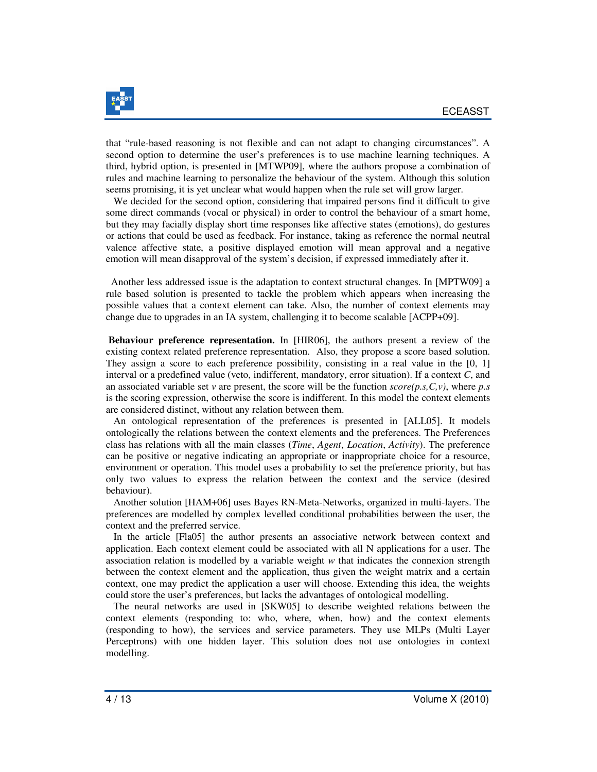

that "rule-based reasoning is not flexible and can not adapt to changing circumstances". A second option to determine the user's preferences is to use machine learning techniques. A third, hybrid option, is presented in [MTWP09], where the authors propose a combination of rules and machine learning to personalize the behaviour of the system. Although this solution seems promising, it is yet unclear what would happen when the rule set will grow larger.

 We decided for the second option, considering that impaired persons find it difficult to give some direct commands (vocal or physical) in order to control the behaviour of a smart home, but they may facially display short time responses like affective states (emotions), do gestures or actions that could be used as feedback. For instance, taking as reference the normal neutral valence affective state, a positive displayed emotion will mean approval and a negative emotion will mean disapproval of the system's decision, if expressed immediately after it.

 Another less addressed issue is the adaptation to context structural changes. In [MPTW09] a rule based solution is presented to tackle the problem which appears when increasing the possible values that a context element can take. Also, the number of context elements may change due to upgrades in an IA system, challenging it to become scalable [ACPP+09].

**Behaviour preference representation.** In [HIR06], the authors present a review of the existing context related preference representation. Also, they propose a score based solution. They assign a score to each preference possibility, consisting in a real value in the [0, 1] interval or a predefined value (veto, indifferent, mandatory, error situation). If a context *C*, and an associated variable set *v* are present, the score will be the function *score(p.s,C,v)*, where *p.s* is the scoring expression, otherwise the score is indifferent. In this model the context elements are considered distinct, without any relation between them.

 An ontological representation of the preferences is presented in [ALL05]. It models ontologically the relations between the context elements and the preferences. The Preferences class has relations with all the main classes (*Time*, *Agent*, *Location*, *Activity*). The preference can be positive or negative indicating an appropriate or inappropriate choice for a resource, environment or operation. This model uses a probability to set the preference priority, but has only two values to express the relation between the context and the service (desired behaviour).

 Another solution [HAM+06] uses Bayes RN-Meta-Networks, organized in multi-layers. The preferences are modelled by complex levelled conditional probabilities between the user, the context and the preferred service.

 In the article [Fla05] the author presents an associative network between context and application. Each context element could be associated with all N applications for a user. The association relation is modelled by a variable weight *w* that indicates the connexion strength between the context element and the application, thus given the weight matrix and a certain context, one may predict the application a user will choose. Extending this idea, the weights could store the user's preferences, but lacks the advantages of ontological modelling.

 The neural networks are used in [SKW05] to describe weighted relations between the context elements (responding to: who, where, when, how) and the context elements (responding to how), the services and service parameters. They use MLPs (Multi Layer Perceptrons) with one hidden layer. This solution does not use ontologies in context modelling.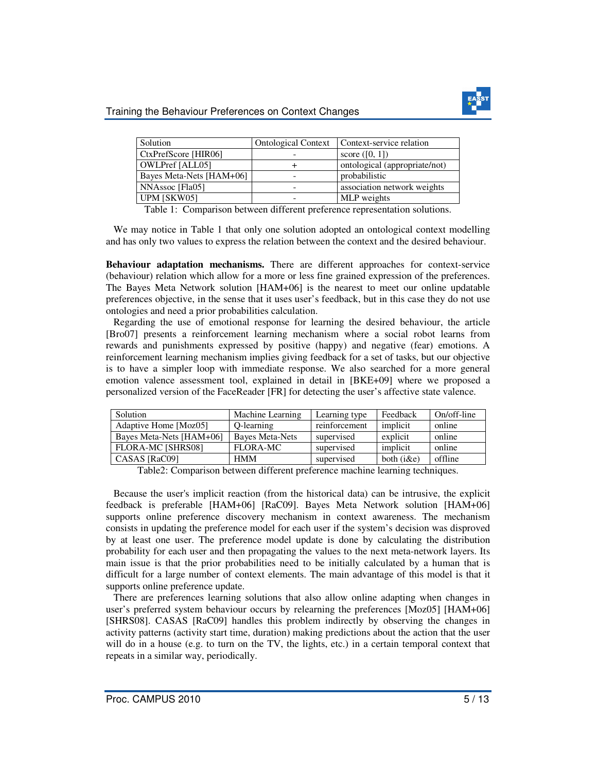

#### Training the Behaviour Preferences on Context Changes

| Solution                 | <b>Ontological Context</b> | Context-service relation      |
|--------------------------|----------------------------|-------------------------------|
| CtxPrefScore [HIR06]     |                            | score $([0, 1])$              |
| OWLPref [ALL05]          |                            | ontological (appropriate/not) |
| Bayes Meta-Nets [HAM+06] |                            | probabilistic                 |
| NNAssoc [Fla05]          |                            | association network weights   |
| UPM [SKW05]              |                            | MLP weights                   |

Table 1: Comparison between different preference representation solutions.

 We may notice in Table 1 that only one solution adopted an ontological context modelling and has only two values to express the relation between the context and the desired behaviour.

**Behaviour adaptation mechanisms.** There are different approaches for context-service (behaviour) relation which allow for a more or less fine grained expression of the preferences. The Bayes Meta Network solution [HAM+06] is the nearest to meet our online updatable preferences objective, in the sense that it uses user's feedback, but in this case they do not use ontologies and need a prior probabilities calculation.

 Regarding the use of emotional response for learning the desired behaviour, the article [Bro07] presents a reinforcement learning mechanism where a social robot learns from rewards and punishments expressed by positive (happy) and negative (fear) emotions. A reinforcement learning mechanism implies giving feedback for a set of tasks, but our objective is to have a simpler loop with immediate response. We also searched for a more general emotion valence assessment tool, explained in detail in [BKE+09] where we proposed a personalized version of the FaceReader [FR] for detecting the user's affective state valence.

| Solution                 | Machine Learning | Learning type | Feedback      | On/off-line |
|--------------------------|------------------|---------------|---------------|-------------|
| Adaptive Home [Moz05]    | O-learning       | reinforcement | implicit      | online      |
| Bayes Meta-Nets [HAM+06] | Bayes Meta-Nets  | supervised    | explicit      | online      |
| FLORA-MC [SHRS08]        | FLORA-MC         | supervised    | implicit      | online      |
| CASAS [RaC09]            | <b>HMM</b>       | supervised    | both $(i\&e)$ | offline     |

Table2: Comparison between different preference machine learning techniques.

 Because the user's implicit reaction (from the historical data) can be intrusive, the explicit feedback is preferable [HAM+06] [RaC09]. Bayes Meta Network solution [HAM+06] supports online preference discovery mechanism in context awareness. The mechanism consists in updating the preference model for each user if the system's decision was disproved by at least one user. The preference model update is done by calculating the distribution probability for each user and then propagating the values to the next meta-network layers. Its main issue is that the prior probabilities need to be initially calculated by a human that is difficult for a large number of context elements. The main advantage of this model is that it supports online preference update.

 There are preferences learning solutions that also allow online adapting when changes in user's preferred system behaviour occurs by relearning the preferences [Moz05] [HAM+06] [SHRS08]. CASAS [RaC09] handles this problem indirectly by observing the changes in activity patterns (activity start time, duration) making predictions about the action that the user will do in a house (e.g. to turn on the TV, the lights, etc.) in a certain temporal context that repeats in a similar way, periodically.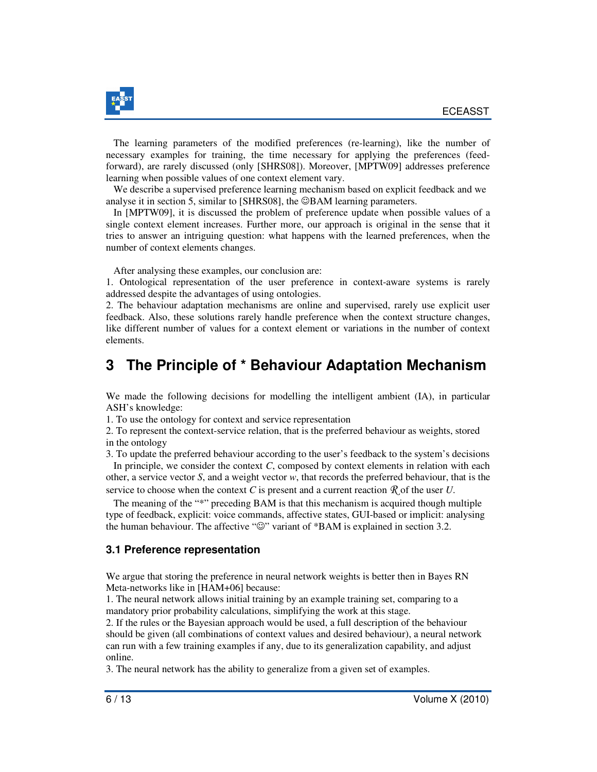

 The learning parameters of the modified preferences (re-learning), like the number of necessary examples for training, the time necessary for applying the preferences (feedforward), are rarely discussed (only [SHRS08]). Moreover, [MPTW09] addresses preference learning when possible values of one context element vary.

 We describe a supervised preference learning mechanism based on explicit feedback and we analyse it in section 5, similar to [SHRS08], the  $\circledcirc$ BAM learning parameters.

 In [MPTW09], it is discussed the problem of preference update when possible values of a single context element increases. Further more, our approach is original in the sense that it tries to answer an intriguing question: what happens with the learned preferences, when the number of context elements changes.

After analysing these examples, our conclusion are:

1. Ontological representation of the user preference in context-aware systems is rarely addressed despite the advantages of using ontologies.

2. The behaviour adaptation mechanisms are online and supervised, rarely use explicit user feedback. Also, these solutions rarely handle preference when the context structure changes, like different number of values for a context element or variations in the number of context elements.

## **3 The Principle of \* Behaviour Adaptation Mechanism**

We made the following decisions for modelling the intelligent ambient (IA), in particular ASH's knowledge:

1. To use the ontology for context and service representation

2. To represent the context-service relation, that is the preferred behaviour as weights, stored in the ontology

3. To update the preferred behaviour according to the user's feedback to the system's decisions In principle, we consider the context *C*, composed by context elements in relation with each other, a service vector *S*, and a weight vector *w*, that records the preferred behaviour, that is the

service to choose when the context *C* is present and a current reaction  $\mathcal{R}$  of the user *U*.

 The meaning of the "\*" preceding BAM is that this mechanism is acquired though multiple type of feedback, explicit: voice commands, affective states, GUI-based or implicit: analysing the human behaviour. The affective "☺" variant of \*BAM is explained in section 3.2.

#### **3.1 Preference representation**

We argue that storing the preference in neural network weights is better then in Bayes RN Meta-networks like in [HAM+06] because:

1. The neural network allows initial training by an example training set, comparing to a mandatory prior probability calculations, simplifying the work at this stage.

2. If the rules or the Bayesian approach would be used, a full description of the behaviour should be given (all combinations of context values and desired behaviour), a neural network can run with a few training examples if any, due to its generalization capability, and adjust online.

3. The neural network has the ability to generalize from a given set of examples.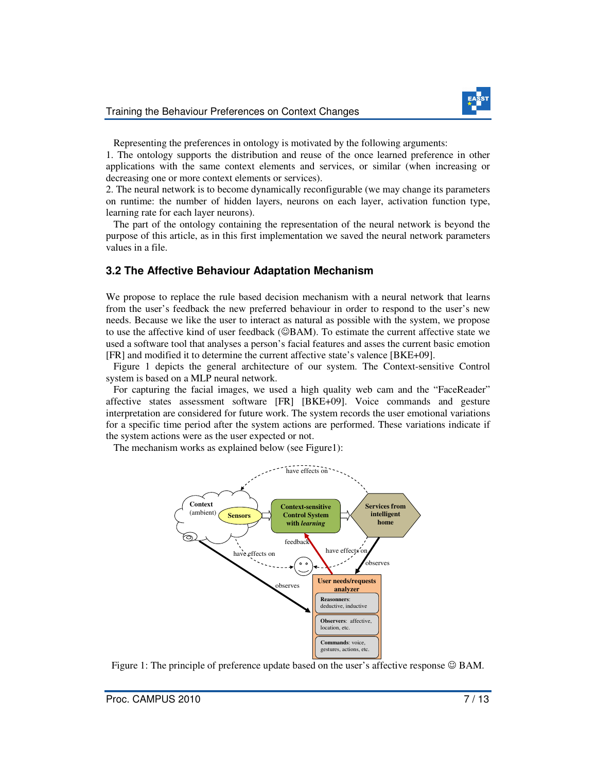

Representing the preferences in ontology is motivated by the following arguments:

1. The ontology supports the distribution and reuse of the once learned preference in other applications with the same context elements and services, or similar (when increasing or decreasing one or more context elements or services).

2. The neural network is to become dynamically reconfigurable (we may change its parameters on runtime: the number of hidden layers, neurons on each layer, activation function type, learning rate for each layer neurons).

 The part of the ontology containing the representation of the neural network is beyond the purpose of this article, as in this first implementation we saved the neural network parameters values in a file.

### **3.2 The Affective Behaviour Adaptation Mechanism**

We propose to replace the rule based decision mechanism with a neural network that learns from the user's feedback the new preferred behaviour in order to respond to the user's new needs. Because we like the user to interact as natural as possible with the system, we propose to use the affective kind of user feedback (☺BAM). To estimate the current affective state we used a software tool that analyses a person's facial features and asses the current basic emotion [FR] and modified it to determine the current affective state's valence [BKE+09].

 Figure 1 depicts the general architecture of our system. The Context-sensitive Control system is based on a MLP neural network.

 For capturing the facial images, we used a high quality web cam and the "FaceReader" affective states assessment software [FR] [BKE+09]. Voice commands and gesture interpretation are considered for future work. The system records the user emotional variations for a specific time period after the system actions are performed. These variations indicate if the system actions were as the user expected or not.

The mechanism works as explained below (see Figure1):



Figure 1: The principle of preference update based on the user's affective response  $\odot$  BAM.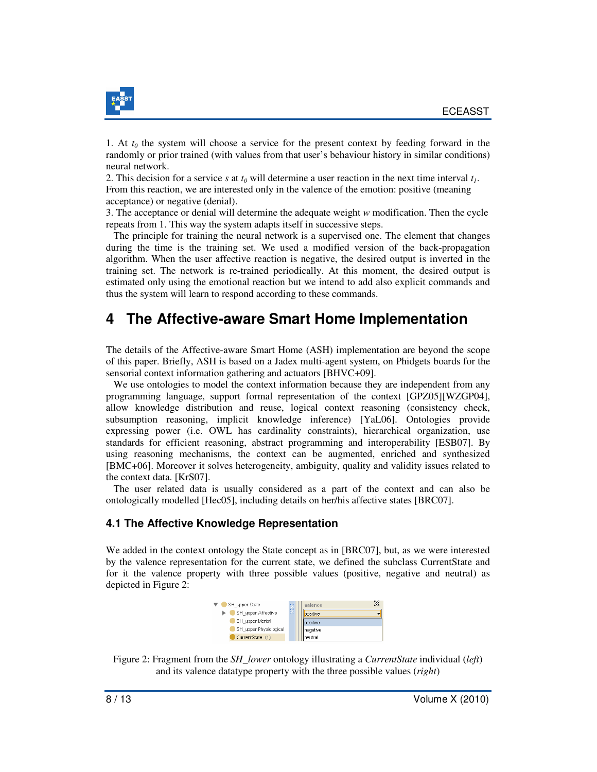

1. At  $t_0$  the system will choose a service for the present context by feeding forward in the randomly or prior trained (with values from that user's behaviour history in similar conditions) neural network.

2. This decision for a service *s* at  $t_0$  will determine a user reaction in the next time interval  $t_1$ . From this reaction, we are interested only in the valence of the emotion: positive (meaning acceptance) or negative (denial).

3. The acceptance or denial will determine the adequate weight *w* modification. Then the cycle repeats from 1. This way the system adapts itself in successive steps.

 The principle for training the neural network is a supervised one. The element that changes during the time is the training set. We used a modified version of the back-propagation algorithm. When the user affective reaction is negative, the desired output is inverted in the training set. The network is re-trained periodically. At this moment, the desired output is estimated only using the emotional reaction but we intend to add also explicit commands and thus the system will learn to respond according to these commands.

## **4 The Affective-aware Smart Home Implementation**

The details of the Affective-aware Smart Home (ASH) implementation are beyond the scope of this paper. Briefly, ASH is based on a Jadex multi-agent system, on Phidgets boards for the sensorial context information gathering and actuators [BHVC+09].

 We use ontologies to model the context information because they are independent from any programming language, support formal representation of the context [GPZ05][WZGP04], allow knowledge distribution and reuse, logical context reasoning (consistency check, subsumption reasoning, implicit knowledge inference) [YaL06]. Ontologies provide expressing power (i.e. OWL has cardinality constraints), hierarchical organization, use standards for efficient reasoning, abstract programming and interoperability [ESB07]. By using reasoning mechanisms, the context can be augmented, enriched and synthesized [BMC+06]. Moreover it solves heterogeneity, ambiguity, quality and validity issues related to the context data. [KrS07].

 The user related data is usually considered as a part of the context and can also be ontologically modelled [Hec05], including details on her/his affective states [BRC07].

#### **4.1 The Affective Knowledge Representation**

We added in the context ontology the State concept as in [BRC07], but, as we were interested by the valence representation for the current state, we defined the subclass CurrentState and for it the valence property with three possible values (positive, negative and neutral) as depicted in Figure 2:

| SH upper:State         | 躁 | valence  | ╳ |
|------------------------|---|----------|---|
| SH upper:Affective     |   | positive |   |
| SH upper:Mental        |   | positive |   |
| SH upper:Physiological |   | negative |   |
| CurrentState (1)       |   | Ineutral |   |

Figure 2: Fragment from the *SH\_lower* ontology illustrating a *CurrentState* individual (*left*) and its valence datatype property with the three possible values (*right*)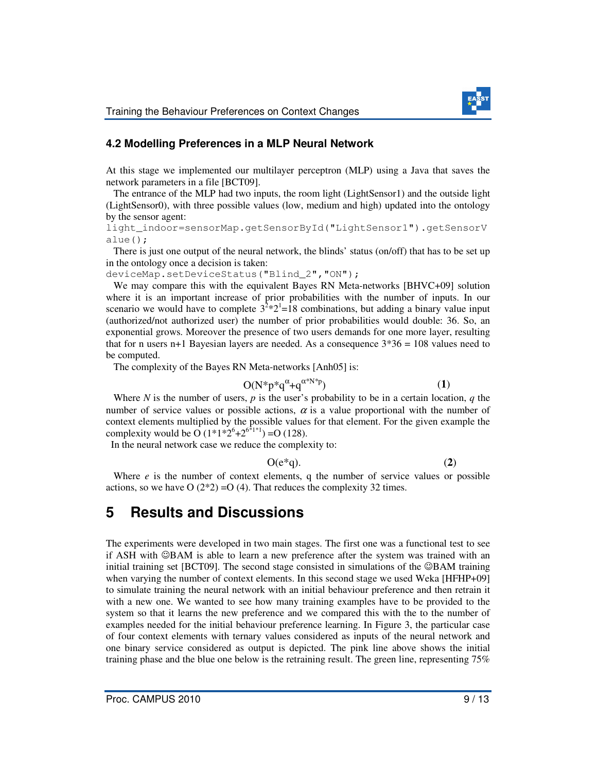

### **4.2 Modelling Preferences in a MLP Neural Network**

At this stage we implemented our multilayer perceptron (MLP) using a Java that saves the network parameters in a file [BCT09].

 The entrance of the MLP had two inputs, the room light (LightSensor1) and the outside light (LightSensor0), with three possible values (low, medium and high) updated into the ontology by the sensor agent:

light\_indoor=sensorMap.getSensorById("LightSensor1").getSensorV alue();

 There is just one output of the neural network, the blinds' status (on/off) that has to be set up in the ontology once a decision is taken:

deviceMap.setDeviceStatus("Blind\_2","ON");

We may compare this with the equivalent Bayes RN Meta-networks [BHVC+09] solution where it is an important increase of prior probabilities with the number of inputs. In our scenario we would have to complete  $3^{2*}2^{1}=18$  combinations, but adding a binary value input (authorized/not authorized user) the number of prior probabilities would double: 36. So, an exponential grows. Moreover the presence of two users demands for one more layer, resulting that for n users n+1 Bayesian layers are needed. As a consequence  $3*36 = 108$  values need to be computed.

The complexity of the Bayes RN Meta-networks [Anh05] is:

$$
O(N^*p^*q^{\alpha}+q^{\alpha^*N^*p})\tag{1}
$$

Where *N* is the number of users, *p* is the user's probability to be in a certain location, *q* the number of service values or possible actions,  $\alpha$  is a value proportional with the number of context elements multiplied by the possible values for that element. For the given example the complexity would be O  $(1^*1^*2^6 + 2^{6^*1^*1}) = O(128)$ .

In the neural network case we reduce the complexity to:

 $O(e^*q)$ . (2)

Where  $e$  is the number of context elements, q the number of service values or possible actions, so we have  $O(2^*2) = O(4)$ . That reduces the complexity 32 times.

## **5 Results and Discussions**

The experiments were developed in two main stages. The first one was a functional test to see if ASH with ☺BAM is able to learn a new preference after the system was trained with an initial training set [BCT09]. The second stage consisted in simulations of the ☺BAM training when varying the number of context elements. In this second stage we used Weka [HFHP+09] to simulate training the neural network with an initial behaviour preference and then retrain it with a new one. We wanted to see how many training examples have to be provided to the system so that it learns the new preference and we compared this with the to the number of examples needed for the initial behaviour preference learning. In Figure 3, the particular case of four context elements with ternary values considered as inputs of the neural network and one binary service considered as output is depicted. The pink line above shows the initial training phase and the blue one below is the retraining result. The green line, representing 75%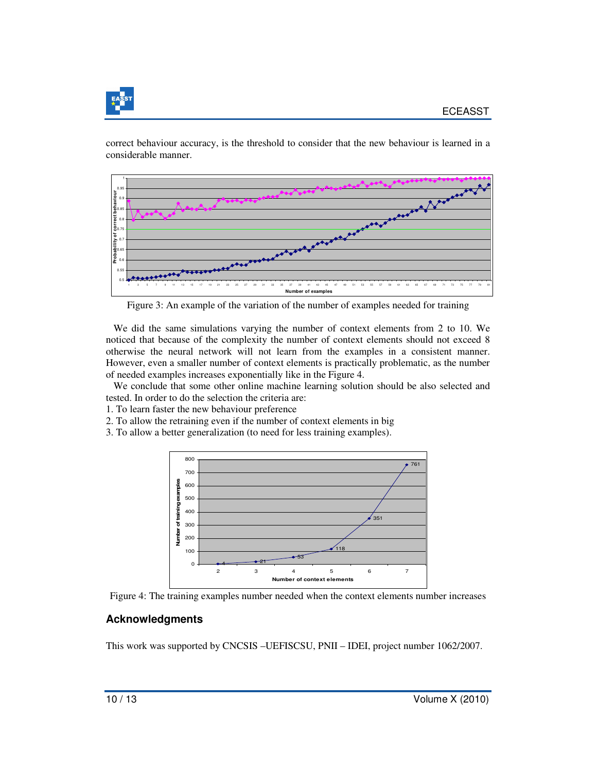

correct behaviour accuracy, is the threshold to consider that the new behaviour is learned in a considerable manner.



Figure 3: An example of the variation of the number of examples needed for training

 We did the same simulations varying the number of context elements from 2 to 10. We noticed that because of the complexity the number of context elements should not exceed 8 otherwise the neural network will not learn from the examples in a consistent manner. However, even a smaller number of context elements is practically problematic, as the number of needed examples increases exponentially like in the Figure 4.

 We conclude that some other online machine learning solution should be also selected and tested. In order to do the selection the criteria are:

- 1. To learn faster the new behaviour preference
- 2. To allow the retraining even if the number of context elements in big
- 3. To allow a better generalization (to need for less training examples).



Figure 4: The training examples number needed when the context elements number increases

### **Acknowledgments**

This work was supported by CNCSIS –UEFISCSU, PNII – IDEI, project number 1062/2007.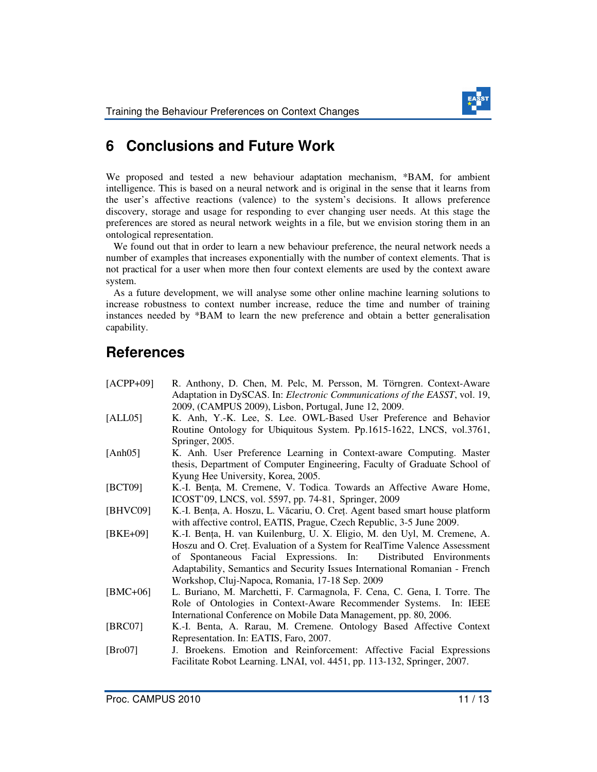

# **6 Conclusions and Future Work**

We proposed and tested a new behaviour adaptation mechanism, \*BAM, for ambient intelligence. This is based on a neural network and is original in the sense that it learns from the user's affective reactions (valence) to the system's decisions. It allows preference discovery, storage and usage for responding to ever changing user needs. At this stage the preferences are stored as neural network weights in a file, but we envision storing them in an ontological representation.

 We found out that in order to learn a new behaviour preference, the neural network needs a number of examples that increases exponentially with the number of context elements. That is not practical for a user when more then four context elements are used by the context aware system.

 As a future development, we will analyse some other online machine learning solutions to increase robustness to context number increase, reduce the time and number of training instances needed by \*BAM to learn the new preference and obtain a better generalisation capability.

# **References**

| $[ACPP+09]$ | R. Anthony, D. Chen, M. Pelc, M. Persson, M. Törngren. Context-Aware         |
|-------------|------------------------------------------------------------------------------|
|             | Adaptation in DySCAS. In: Electronic Communications of the EASST, vol. 19,   |
|             | 2009, (CAMPUS 2009), Lisbon, Portugal, June 12, 2009.                        |
| [ALL05]     | K. Anh, Y.-K. Lee, S. Lee. OWL-Based User Preference and Behavior            |
|             | Routine Ontology for Ubiquitous System. Pp.1615-1622, LNCS, vol.3761,        |
|             | Springer, 2005.                                                              |
| [Anh $05$ ] | K. Anh. User Preference Learning in Context-aware Computing. Master          |
|             | thesis, Department of Computer Engineering, Faculty of Graduate School of    |
|             | Kyung Hee University, Korea, 2005.                                           |
| [BCT09]     | K.-I. Bența, M. Cremene, V. Todica. Towards an Affective Aware Home,         |
|             | ICOST'09, LNCS, vol. 5597, pp. 74-81, Springer, 2009                         |
| [BHVC09]    | K.-I. Bența, A. Hoszu, L. Văcariu, O. Creț. Agent based smart house platform |
|             | with affective control, EATIS, Prague, Czech Republic, 3-5 June 2009.        |
| $[BKE+09]$  | K.-I. Bența, H. van Kuilenburg, U. X. Eligio, M. den Uyl, M. Cremene, A.     |
|             | Hoszu and O. Cret. Evaluation of a System for RealTime Valence Assessment    |
|             | of Spontaneous Facial Expressions. In:<br>Distributed Environments           |
|             | Adaptability, Semantics and Security Issues International Romanian - French  |
|             | Workshop, Cluj-Napoca, Romania, 17-18 Sep. 2009                              |
| $[BMC+06]$  | L. Buriano, M. Marchetti, F. Carmagnola, F. Cena, C. Gena, I. Torre. The     |
|             | Role of Ontologies in Context-Aware Recommender Systems. In: IEEE            |
|             | International Conference on Mobile Data Management, pp. 80, 2006.            |
| [BRC07]     | K.-I. Benta, A. Rarau, M. Cremene. Ontology Based Affective Context          |
|             | Representation. In: EATIS, Faro, 2007.                                       |
| [ $Bro07$ ] | J. Broekens. Emotion and Reinforcement: Affective Facial Expressions         |
|             | Facilitate Robot Learning. LNAI, vol. 4451, pp. 113-132, Springer, 2007.     |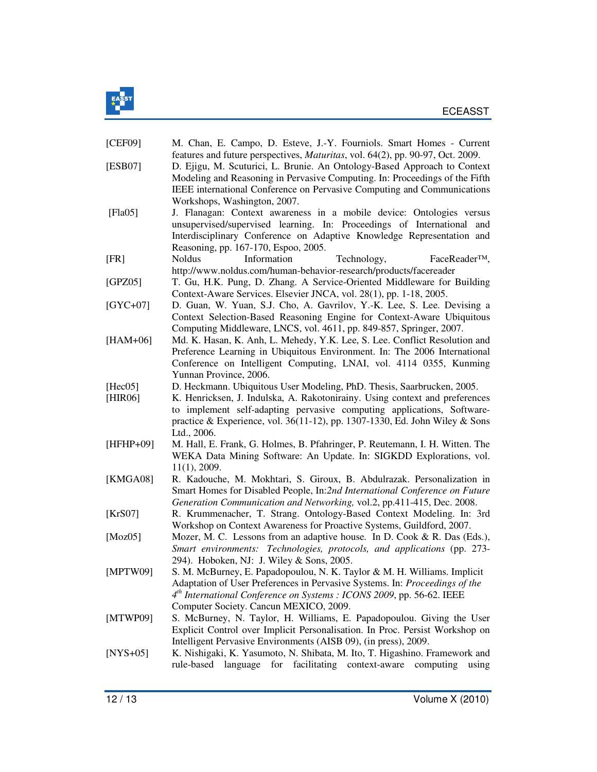

| [CEF09]            | M. Chan, E. Campo, D. Esteve, J.-Y. Fourniols. Smart Homes - Current                                                                                                                                                                                                                                                                                    |
|--------------------|---------------------------------------------------------------------------------------------------------------------------------------------------------------------------------------------------------------------------------------------------------------------------------------------------------------------------------------------------------|
| [ESB07]            | features and future perspectives, <i>Maturitas</i> , vol. 64(2), pp. 90-97, Oct. 2009.<br>D. Ejigu, M. Scuturici, L. Brunie. An Ontology-Based Approach to Context<br>Modeling and Reasoning in Pervasive Computing. In: Proceedings of the Fifth                                                                                                       |
|                    | IEEE international Conference on Pervasive Computing and Communications<br>Workshops, Washington, 2007.                                                                                                                                                                                                                                                 |
| [ $Fla05$ ]        | J. Flanagan: Context awareness in a mobile device: Ontologies versus<br>unsupervised/supervised learning. In: Proceedings of International and<br>Interdisciplinary Conference on Adaptive Knowledge Representation and<br>Reasoning, pp. 167-170, Espoo, 2005.                                                                                         |
| [FR]               | <b>Noldus</b><br>Information<br>FaceReader <sup>™</sup> ,<br>Technology,<br>http://www.noldus.com/human-behavior-research/products/facereader                                                                                                                                                                                                           |
| [GPZ05]            | T. Gu, H.K. Pung, D. Zhang. A Service-Oriented Middleware for Building<br>Context-Aware Services. Elsevier JNCA, vol. 28(1), pp. 1-18, 2005.                                                                                                                                                                                                            |
| $[GYC+07]$         | D. Guan, W. Yuan, S.J. Cho, A. Gavrilov, Y.-K. Lee, S. Lee. Devising a<br>Context Selection-Based Reasoning Engine for Context-Aware Ubiquitous<br>Computing Middleware, LNCS, vol. 4611, pp. 849-857, Springer, 2007.                                                                                                                                  |
| [ $HAM+06$ ]       | Md. K. Hasan, K. Anh, L. Mehedy, Y.K. Lee, S. Lee. Conflict Resolution and<br>Preference Learning in Ubiquitous Environment. In: The 2006 International<br>Conference on Intelligent Computing, LNAI, vol. 4114 0355, Kunming                                                                                                                           |
| [Hec05]<br>[HIR06] | Yunnan Province, 2006.<br>D. Heckmann. Ubiquitous User Modeling, PhD. Thesis, Saarbrucken, 2005.<br>K. Henricksen, J. Indulska, A. Rakotonirainy. Using context and preferences<br>to implement self-adapting pervasive computing applications, Software-<br>practice & Experience, vol. 36(11-12), pp. 1307-1330, Ed. John Wiley & Sons<br>Ltd., 2006. |
| $[HFHP+09]$        | M. Hall, E. Frank, G. Holmes, B. Pfahringer, P. Reutemann, I. H. Witten. The<br>WEKA Data Mining Software: An Update. In: SIGKDD Explorations, vol.<br>$11(1)$ , 2009.                                                                                                                                                                                  |
| [KMGA08]           | R. Kadouche, M. Mokhtari, S. Giroux, B. Abdulrazak. Personalization in<br>Smart Homes for Disabled People, In:2nd International Conference on Future<br>Generation Communication and Networking, vol.2, pp.411-415, Dec. 2008.                                                                                                                          |
| [ $KrS07$ ]        | R. Krummenacher, T. Strang. Ontology-Based Context Modeling. In: 3rd<br>Workshop on Context Awareness for Proactive Systems, Guildford, 2007.                                                                                                                                                                                                           |
| [ $Moz05$ ]        | Mozer, M. C. Lessons from an adaptive house. In D. Cook & R. Das (Eds.),<br>Smart environments: Technologies, protocols, and applications (pp. 273-<br>294). Hoboken, NJ: J. Wiley & Sons, 2005.                                                                                                                                                        |
| [MPTW09]           | S. M. McBurney, E. Papadopoulou, N. K. Taylor & M. H. Williams. Implicit<br>Adaptation of User Preferences in Pervasive Systems. In: Proceedings of the<br>4 <sup>th</sup> International Conference on Systems : ICONS 2009, pp. 56-62. IEEE<br>Computer Society. Cancun MEXICO, 2009.                                                                  |
| [MTWP09]           | S. McBurney, N. Taylor, H. Williams, E. Papadopoulou. Giving the User<br>Explicit Control over Implicit Personalisation. In Proc. Persist Workshop on<br>Intelligent Pervasive Environments (AISB 09), (in press), 2009.                                                                                                                                |
| $[NYS+05]$         | K. Nishigaki, K. Yasumoto, N. Shibata, M. Ito, T. Higashino. Framework and<br>rule-based language<br>for facilitating context-aware computing<br>using                                                                                                                                                                                                  |